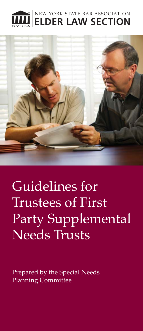



Guidelines for Trustees of First Party Supplemental Needs Trusts

Prepared by the Special Needs Planning Committee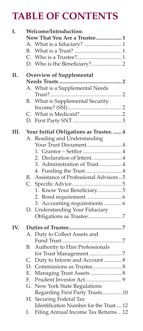# **TABLE OF CONTENTS**

| I.   | Welcome/Introduction:           |                                         |  |  |  |  |
|------|---------------------------------|-----------------------------------------|--|--|--|--|
|      |                                 | Now That You Are a Trustee 1            |  |  |  |  |
|      |                                 | A. What is a fiduciary? 1               |  |  |  |  |
|      | В.                              |                                         |  |  |  |  |
|      |                                 |                                         |  |  |  |  |
|      |                                 |                                         |  |  |  |  |
| II.  | <b>Overview of Supplemental</b> |                                         |  |  |  |  |
|      |                                 |                                         |  |  |  |  |
|      |                                 | A. What is a Supplemental Needs         |  |  |  |  |
|      |                                 |                                         |  |  |  |  |
|      | B.                              | What is Supplemental Security           |  |  |  |  |
|      |                                 |                                         |  |  |  |  |
|      |                                 |                                         |  |  |  |  |
|      |                                 |                                         |  |  |  |  |
| III. |                                 | Your Initial Obligations as Trustee.  4 |  |  |  |  |
|      |                                 | A. Reading and Understanding            |  |  |  |  |
|      |                                 | Your Trust Document4                    |  |  |  |  |
|      |                                 |                                         |  |  |  |  |
|      |                                 | 2. Declaration of Intent4               |  |  |  |  |
|      |                                 | 3. Administration of Trust 4            |  |  |  |  |
|      |                                 | 4. Funding the Trust 4                  |  |  |  |  |
|      | B.                              | Assistance of Professional Advisors5    |  |  |  |  |
|      |                                 |                                         |  |  |  |  |
|      |                                 | 1. Know Your Beneficiary5               |  |  |  |  |
|      |                                 |                                         |  |  |  |  |
|      |                                 | 3. Accounting requirements  6           |  |  |  |  |
|      |                                 | D. Understanding Your Fiduciary         |  |  |  |  |
|      |                                 |                                         |  |  |  |  |
| IV.  |                                 |                                         |  |  |  |  |
|      |                                 | A. Duty to Collect Assets and           |  |  |  |  |
|      |                                 |                                         |  |  |  |  |
|      | В.                              | Authority to Hire Professionals         |  |  |  |  |
|      |                                 |                                         |  |  |  |  |
|      |                                 | C. Duty to Inform and Account  8        |  |  |  |  |
|      |                                 |                                         |  |  |  |  |
|      | Ε.                              | Managing Trust Assets  8                |  |  |  |  |
|      | E.                              |                                         |  |  |  |  |
|      |                                 | G. New York State Regulations           |  |  |  |  |
|      |                                 | Regarding First Party Trusts 10         |  |  |  |  |
|      |                                 | H. Securing Federal Tax                 |  |  |  |  |
|      |                                 | Identification Number for the Trust  12 |  |  |  |  |
|      | Ι.                              | Filing Annual Income Tax Returns  12    |  |  |  |  |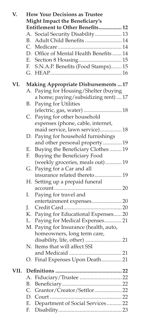| V.   | <b>How Your Decisions as Trustee</b>        |                                        |  |  |  |  |
|------|---------------------------------------------|----------------------------------------|--|--|--|--|
|      | <b>Might Impact the Beneficiary's</b>       |                                        |  |  |  |  |
|      | Entitlement to Other Benefits 12            |                                        |  |  |  |  |
|      |                                             | A. Social Security Disability 13       |  |  |  |  |
|      | <b>B.</b>                                   | Adult Child Benefits  14               |  |  |  |  |
|      |                                             |                                        |  |  |  |  |
|      |                                             | D. Office of Mental Health Benefits 14 |  |  |  |  |
|      | Е.                                          |                                        |  |  |  |  |
|      | F.                                          | S.N.A.P. Benefits (Food Stamps) 15     |  |  |  |  |
|      |                                             |                                        |  |  |  |  |
| VI.  | <b>Making Appropriate Disbursements  17</b> |                                        |  |  |  |  |
|      |                                             | A. Paying for Housing/Shelter (buying  |  |  |  |  |
|      |                                             | a home; paying/subsidizing rent) 17    |  |  |  |  |
|      | В.                                          | Paying for Utilities                   |  |  |  |  |
|      |                                             | (electric, gas, water)  18             |  |  |  |  |
|      |                                             | C. Paying for other household          |  |  |  |  |
|      |                                             | expenses (phone, cable, internet,      |  |  |  |  |
|      |                                             | maid service, lawn service) 18         |  |  |  |  |
|      |                                             | D. Paying for household furnishings    |  |  |  |  |
|      |                                             | and other personal property 19         |  |  |  |  |
|      | Е.                                          | Buying the Beneficiary Clothes  19     |  |  |  |  |
|      | F.                                          | Buying the Beneficiary Food            |  |  |  |  |
|      |                                             | (weekly groceries, meals out)  19      |  |  |  |  |
|      | G.                                          | Paying for a Car and all               |  |  |  |  |
|      |                                             | insurance related thereto 19           |  |  |  |  |
|      | H.                                          | Setting up a prepaid funeral           |  |  |  |  |
|      |                                             |                                        |  |  |  |  |
|      | I.                                          | Paying for travel and                  |  |  |  |  |
|      |                                             | entertainment expenses 20              |  |  |  |  |
|      | J.                                          |                                        |  |  |  |  |
|      | К.                                          | Paying for Educational Expenses 20     |  |  |  |  |
|      | L.                                          | Paying for Medical Expenses 21         |  |  |  |  |
|      |                                             | M. Paying for Insurance (health, auto, |  |  |  |  |
|      |                                             | homeowners, long term care,            |  |  |  |  |
|      |                                             | disability, life, other)  21           |  |  |  |  |
|      |                                             | N. Items that will affect SSI          |  |  |  |  |
|      |                                             |                                        |  |  |  |  |
|      |                                             | O. Final Expenses Upon Death21         |  |  |  |  |
| VII. |                                             |                                        |  |  |  |  |
|      | А.                                          |                                        |  |  |  |  |
|      | В.                                          |                                        |  |  |  |  |
|      | $C_{\cdot}$                                 | Grantor/Creator/Settlor22              |  |  |  |  |
|      | D.                                          | Court                                  |  |  |  |  |
|      | Е.                                          | Department of Social Services  22      |  |  |  |  |
|      | F.                                          |                                        |  |  |  |  |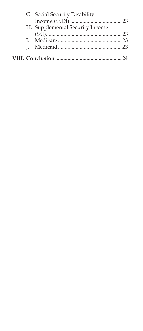|  | G. Social Security Disability   |  |
|--|---------------------------------|--|
|  |                                 |  |
|  | H. Supplemental Security Income |  |
|  |                                 |  |
|  |                                 |  |
|  |                                 |  |
|  |                                 |  |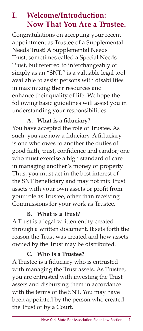### **I. Welcome/Introduction: Now That You Are a Trustee.**

Congratulations on accepting your recent appointment as Trustee of a Supplemental Needs Trust! A Supplemental Needs Trust, sometimes called a Special Needs Trust, but referred to interchangeably or simply as an "SNT," is a valuable legal tool available to assist persons with disabilities in maximizing their resources and enhance their quality of life. We hope the following basic guidelines will assist you in understanding your responsibilities.

### A. What is a fiduciary?

You have accepted the role of Trustee. As such, you are now a fiduciary. A fiduciary is one who owes to another the duties of good faith, trust, confidence and candor; one who must exercise a high standard of care in managing another's money or property. Thus, you must act in the best interest of the SNT beneficiary and may not mix Trust assets with your own assets or profit from your role as Trustee, other than receiving Commissions for your work as Trustee.

#### **B. What is a Trust?**

A Trust is a legal written entity created through a written document. It sets forth the reason the Trust was created and how assets owned by the Trust may be distributed.

### **C. Who is a Trustee?**

A Trustee is a fiduciary who is entrusted with managing the Trust assets. As Trustee, you are entrusted with investing the Trust assets and disbursing them in accordance with the terms of the SNT. You may have been appointed by the person who created the Trust or by a Court.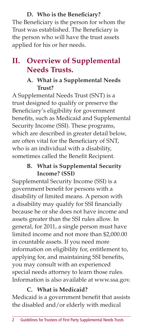### **D.** Who is the Beneficiary?

The Beneficiary is the person for whom the Trust was established. The Beneficiary is the person who will have the trust assets applied for his or her needs.

### **II. Overview of Supplemental Needs Trusts.**

### **A. What is a Supplemental Needs Trust?**

A Supplemental Needs Trust (SNT) is a trust designed to qualify or preserve the Beneficiary's eligibility for government benefits, such as Medicaid and Supplemental Security Income (SSI). These programs, which are described in greater detail below, are often vital for the Beneficiary of SNT, who is an individual with a disability, sometimes called the Benefit Recipient.

### **B. What is Supplemental Security Income? (SSI)**

Supplemental Security Income (SSI) is a government benefit for persons with a disability of limited means. A person with a disability may qualify for SSI financially because he or she does not have income and assets greater than the SSI rules allow. In general, for 2011, a single person must have limited income and not more than \$2,000.00 in countable assets. If you need more information on eligibility for, entitlement to, applying for, and maintaining SSI benefits, you may consult with an experienced special needs attorney to learn those rules. Information is also available at www.ssa.gov.

### **C. What is Medicaid?**

Medicaid is a government benefit that assists the disabled and/or elderly with medical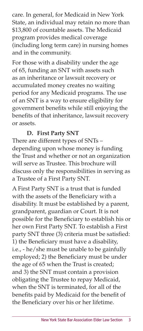care. In general, for Medicaid in New York State, an individual may retain no more than \$13,800 of countable assets. The Medicaid program provides medical coverage (including long term care) in nursing homes and in the community.

For those with a disability under the age of 65, funding an SNT with assets such as an inheritance or lawsuit recovery or accumulated money creates no waiting period for any Medicaid programs. The use of an SNT is a way to ensure eligibility for government benefits while still enjoying the benefits of that inheritance, lawsuit recovery or assets.

### **D. First Party SNT**

There are different types of SNTs – depending upon whose money is funding the Trust and whether or not an organization will serve as Trustee. This brochure will discuss only the responsibilities in serving as a Trustee of a First Party SNT.

A First Party SNT is a trust that is funded with the assets of the Beneficiary with a disability. It must be established by a parent, grandparent, guardian or Court. It is not possible for the Beneficiary to establish his or her own First Party SNT. To establish a First party SNT three (3) criteria must be satisfied: 1) the Beneficiary must have a disability, i.e., - he/she must be unable to be gainfully employed; 2) the Beneficiary must be under the age of 65 when the Trust is created; and 3) the SNT must contain a provision obligating the Trustee to repay Medicaid, when the SNT is terminated, for all of the benefits paid by Medicaid for the benefit of the Beneficiary over his or her lifetime.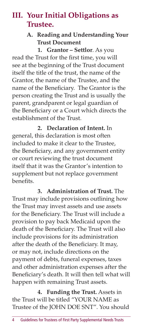### **III. Your Initial Obligations as Trustee.**

#### **A. Reading and Understanding Your Trust Document**

**1. Grantor – Settlor**. As you read the Trust for the first time, you will see at the beginning of the Trust document itself the title of the trust, the name of the Grantor, the name of the Trustee, and the name of the Beneficiary. The Grantor is the person creating the Trust and is usually the parent, grandparent or legal guardian of the Beneficiary or a Court which directs the establishment of the Trust.

**2. Declaration of Intent.** In general, this declaration is most often included to make it clear to the Trustee, the Beneficiary, and any government entity or court reviewing the trust document itself that it was the Grantor's intention to supplement but not replace government benefits.

**3. Administration of Trust.** The Trust may include provisions outlining how the Trust may invest assets and use assets for the Beneficiary. The Trust will include a provision to pay back Medicaid upon the death of the Beneficiary. The Trust will also include provisions for its administration after the death of the Beneficiary. It may, or may not, include directions on the payment of debts, funeral expenses, taxes and other administration expenses after the Beneficiary's death. It will then tell what will happen with remaining Trust assets.

**4. Funding the Trust.** Assets in the Trust will be titled "YOUR NAME as Trustee of the JOHN DOE SNT". You should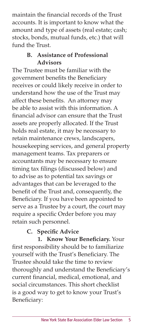maintain the financial records of the Trust accounts. It is important to know what the amount and type of assets (real estate; cash; stocks, bonds, mutual funds, etc.) that will fund the Trust.

### **B. Assistance of Professional Advisors**

The Trustee must be familiar with the government benefits the Beneficiary receives or could likely receive in order to understand how the use of the Trust may affect these benefits. An attorney may be able to assist with this information. A financial advisor can ensure that the Trust assets are properly allocated. If the Trust holds real estate, it may be necessary to retain maintenance crews, landscapers, housekeeping services, and general property management teams. Tax preparers or accountants may be necessary to ensure timing tax filings (discussed below) and to advise as to potential tax savings or advantages that can be leveraged to the benefit of the Trust and, consequently, the Beneficiary. If you have been appointed to serve as a Trustee by a court, the court may require a specific Order before you may retain such personnel.

### **C.** Specific Advice

1. Know Your Beneficiary. Your first responsibility should be to familiarize yourself with the Trust's Beneficiary. The Trustee should take the time to review thoroughly and understand the Beneficiary's current financial, medical, emotional, and social circumstances. This short checklist is a good way to get to know your Trust's Beneficiary: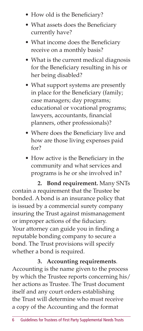- How old is the Beneficiary?
- What assets does the Beneficiary currently have?
- What income does the Beneficiary receive on a monthly basis?
- What is the current medical diagnosis for the Beneficiary resulting in his or her being disabled?
- What support systems are presently in place for the Beneficiary (family; case managers; day programs; educational or vocational programs; lawyers, accountants, financial planners, other professionals)?
- Where does the Beneficiary live and how are those living expenses paid for?
- How active is the Beneficiary in the community and what services and programs is he or she involved in?

**2. Bond requirement.** Many SNTs contain a requirement that the Trustee be bonded. A bond is an insurance policy that is issued by a commercial surety company insuring the Trust against mismanagement or improper actions of the fiduciary. Your attorney can guide you in finding a reputable bonding company to secure a bond. The Trust provisions will specify whether a bond is required.

**3. Accounting requirements**. Accounting is the name given to the process by which the Trustee reports concerning his/ her actions as Trustee. The Trust document itself and any court orders establishing the Trust will determine who must receive a copy of the Accounting and the format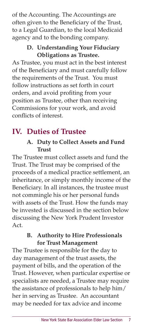of the Accounting. The Accountings are often given to the Beneficiary of the Trust, to a Legal Guardian, to the local Medicaid agency and to the bonding company.

### **D. Understanding Your Fiduciary Obligations as Trustee.**

As Trustee, you must act in the best interest of the Beneficiary and must carefully follow the requirements of the Trust. You must follow instructions as set forth in court orders, and avoid profiting from your position as Trustee, other than receiving Commissions for your work, and avoid conflicts of interest.

# **IV. Duties of Trustee**

### **A. Duty to Collect Assets and Fund Trust**

The Trustee must collect assets and fund the Trust. The Trust may be comprised of the proceeds of a medical practice settlement, an inheritance, or simply monthly income of the Beneficiary. In all instances, the trustee must not commingle his or her personal funds with assets of the Trust. How the funds may be invested is discussed in the section below discussing the New York Prudent Investor Act.

### **B. Authority to Hire Professionals for Trust Management**

The Trustee is responsible for the day to day management of the trust assets, the payment of bills, and the operation of the Trust. However, when particular expertise or specialists are needed, a Trustee may require the assistance of professionals to help him/ her in serving as Trustee. An accountant may be needed for tax advice and income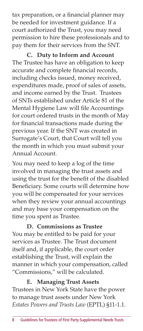tax preparation, or a financial planner may be needed for investment guidance. If a court authorized the Trust, you may need permission to hire these professionals and to pay them for their services from the SNT.

**C. Duty to Inform and Account** The Trustee has have an obligation to keep accurate and complete financial records, including checks issued, money received, expenditures made, proof of sales of assets, and income earned by the Trust. Trustees of SNTs established under Article 81 of the Mental Hygiene Law will file Accountings for court ordered trusts in the month of May for financial transactions made during the previous year. If the SNT was created in Surrogate's Court, that Court will tell you the month in which you must submit your Annual Account.

You may need to keep a log of the time involved in managing the trust assets and using the trust for the benefit of the disabled Beneficiary. Some courts will determine how you will be compensated for your services when they review your annual accountings and may base your compensation on the time you spent as Trustee.

**D. Commissions as Trustee** You may be entitled to be paid for your services as Trustee. The Trust document itself and, if applicable, the court order establishing the Trust, will explain the manner in which your compensation, called "Commissions," will be calculated.

**E. Managing Trust Assets** Trustees in New York State have the power to manage trust assets under New York *Estates Powers and Trusts Law* (EPTL) §11-1.1.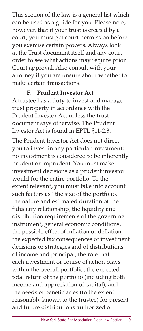This section of the law is a general list which can be used as a guide for you. Please note, however, that if your trust is created by a court, you must get court permission before you exercise certain powers. Always look at the Trust document itself and any court order to see what actions may require prior Court approval. Also consult with your attorney if you are unsure about whether to make certain transactions.

### **F. Prudent Investor Act**

A trustee has a duty to invest and manage trust property in accordance with the Prudent Investor Act unless the trust document says otherwise. The Prudent Investor Act is found in EPTL §11-2.3.

The Prudent Investor Act does not direct you to invest in any particular investment; no investment is considered to be inherently prudent or imprudent. You must make investment decisions as a prudent investor would for the entire portfolio. To the extent relevant, you must take into account such factors as "the size of the portfolio, the nature and estimated duration of the fiduciary relationship, the liquidity and distribution requirements of the governing instrument, general economic conditions, the possible effect of inflation or deflation, the expected tax consequences of investment decisions or strategies and of distributions of income and principal, the role that each investment or course of action plays within the overall portfolio, the expected total return of the portfolio (including both income and appreciation of capital), and the needs of beneficiaries (to the extent reasonably known to the trustee) for present and future distributions authorized or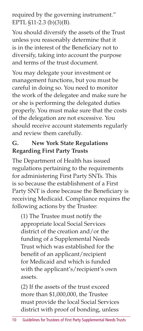required by the governing instrument." EPTL §11-2.3 (b)(3)(B).

You should diversify the assets of the Trust unless you reasonably determine that it is in the interest of the Beneficiary not to diversify, taking into account the purpose and terms of the trust document.

You may delegate your investment or management functions, but you must be careful in doing so. You need to monitor the work of the delegatee and make sure he or she is performing the delegated duties properly. You must make sure that the costs of the delegation are not excessive. You should receive account statements regularly and review them carefully.

### **G. New York State Regulations Regarding First Party Trusts**

The Department of Health has issued regulations pertaining to the requirements for administering First Party SNTs. This is so because the establishment of a First Party SNT is done because the Beneficiary is receiving Medicaid. Compliance requires the following actions by the Trustee:

(1) The Trustee must notify the appropriate local Social Services district of the creation and/or the funding of a Supplemental Needs Trust which was established for the benefit of an applicant/recipient for Medicaid and which is funded with the applicant's/recipient's own assets.

(2) If the assets of the trust exceed more than \$1,000,000, the Trustee must provide the local Social Services district with proof of bonding, unless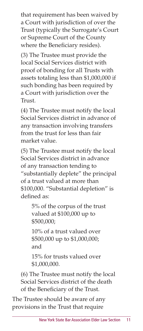that requirement has been waived by a Court with jurisdiction of over the Trust (typically the Surrogate's Court or Supreme Court of the County where the Beneficiary resides).

(3) The Trustee must provide the local Social Services district with proof of bonding for all Trusts with assets totaling less than \$1,000,000 if such bonding has been required by a Court with jurisdiction over the Trust.

(4) The Trustee must notify the local Social Services district in advance of any transaction involving transfers from the trust for less than fair market value.

(5) The Trustee must notify the local Social Services district in advance of any transaction tending to "substantially deplete" the principal of a trust valued at more than \$100,000. "Substantial depletion" is defined as:

> 5% of the corpus of the trust valued at \$100,000 up to \$500,000;

10% of a trust valued over \$500,000 up to \$1,000,000; and

15% for trusts valued over \$1,000,000.

(6) The Trustee must notify the local Social Services district of the death of the Beneficiary of the Trust.

The Trustee should be aware of any provisions in the Trust that require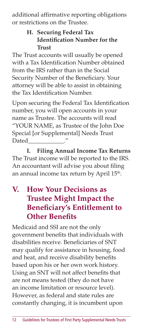additional affirmative reporting obligations or restrictions on the Trustee.

### **H. Securing Federal Tax Identification Number for the Trust**

The Trust accounts will usually be opened with a Tax Identification Number obtained from the IRS rather than in the Social Security Number of the Beneficiary. Your attorney will be able to assist in obtaining the Tax Identification Number.

Upon securing the Federal Tax Identification number, you will open accounts in your name as Trustee. The accounts will read "YOUR NAME, as Trustee of the John Doe Special [or Supplemental] Needs Trust Dated

**I. Filing Annual Income Tax Returns** The Trust income will be reported to the IRS. An accountant will advise you about filing an annual income tax return by April 15<sup>th</sup>.

### **V. How Your Decisions as Trustee Might Impact the Beneficiary's Entitlement to Other Benefits**

Medicaid and SSI are not the only government benefits that individuals with disabilities receive. Beneficiaries of SNT may qualify for assistance in housing, food and heat, and receive disability benefits based upon his or her own work history. Using an SNT will not affect benefits that are not means tested (they do not have an income limitation or resource level). However, as federal and state rules are constantly changing, it is incumbent upon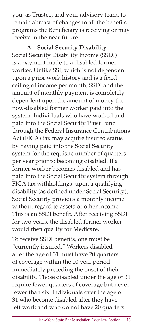you, as Trustee, and your advisory team, to remain abreast of changes to all the benefits programs the Beneficiary is receiving or may receive in the near future.

**A. Social Security Disability** Social Security Disability Income (SSDI) is a payment made to a disabled former worker. Unlike SSI, which is not dependent upon a prior work history and is a fixed ceiling of income per month, SSDI and the amount of monthly payment is completely dependent upon the amount of money the now-disabled former worker paid into the system. Individuals who have worked and paid into the Social Security Trust Fund through the Federal Insurance Contributions Act (FICA) tax may acquire insured status by having paid into the Social Security system for the requisite number of quarters per year prior to becoming disabled. If a former worker becomes disabled and has paid into the Social Security system through FICA tax withholdings, upon a qualifying disability (as defined under Social Security), Social Security provides a monthly income without regard to assets or other income. This is an SSDI benefit. After receiving SSDI for two years, the disabled former worker would then qualify for Medicare.

To receive SSDI benefits, one must be "currently insured." Workers disabled after the age of 31 must have 20 quarters of coverage within the 10 year period immediately preceding the onset of their disability. Those disabled under the age of 31 require fewer quarters of coverage but never fewer than six. Individuals over the age of 31 who become disabled after they have left work and who do not have 20 quarters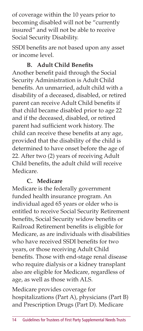of coverage within the 10 years prior to becoming disabled will not be "currently insured" and will not be able to receive Social Security Disability.

SSDI benefits are not based upon any asset or income level.

### **B.** Adult Child Benefits

Another benefit paid through the Social Security Administration is Adult Child benefits. An unmarried, adult child with a disability of a deceased, disabled, or retired parent can receive Adult Child benefits if that child became disabled prior to age 22 and if the deceased, disabled, or retired parent had sufficient work history. The child can receive these benefits at any age, provided that the disability of the child is determined to have onset before the age of 22. After two (2) years of receiving Adult Child benefits, the adult child will receive Medicare.

### **C. Medicare**

Medicare is the federally government funded health insurance program. An individual aged 65 years or older who is entitled to receive Social Security Retirement benefits, Social Security widow benefits or Railroad Retirement benefits is eligible for Medicare, as are individuals with disabilities who have received SSDI benefits for two years, or those receiving Adult Child benefits. Those with end-stage renal disease who require dialysis or a kidney transplant also are eligible for Medicare, regardless of age, as well as those with ALS.

Medicare provides coverage for hospitalizations (Part A), physicians (Part B) and Prescription Drugs (Part D). Medicare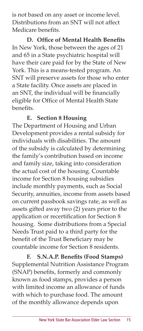is not based on any asset or income level. Distributions from an SNT will not affect Medicare benefits.

**D.** Office of Mental Health Benefits In New York, those between the ages of 21 and 65 in a State psychiatric hospital will have their care paid for by the State of New York. This is a means-tested program. An SNT will preserve assets for those who enter a State facility. Once assets are placed in an SNT, the individual will be financially eligible for Office of Mental Health State benefits.

### **E. Section 8 Housing**

The Department of Housing and Urban Development provides a rental subsidy for individuals with disabilities. The amount of the subsidy is calculated by determining the family's contribution based on income and family size, taking into consideration the actual cost of the housing. Countable income for Section 8 housing subsidies include monthly payments, such as Social Security, annuities, income from assets based on current passbook savings rate, as well as assets gifted away two (2) years prior to the application or recertification for Section 8 housing. Some distributions from a Special Needs Trust paid to a third party for the benefit of the Trust Beneficiary may be countable income for Section 8 residents.

**F.** S.N.A.P. Benefits (Food Stamps) Supplemental Nutrition Assistance Program (SNAP) benefits, formerly and commonly known as food stamps, provides a person with limited income an allowance of funds with which to purchase food. The amount of the monthly allowance depends upon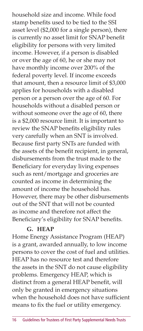household size and income. While food stamp benefits used to be tied to the SSI asset level (\$2,000 for a single person), there is currently no asset limit for SNAP benefit eligibility for persons with very limited income. However, if a person is disabled or over the age of 60, he or she may not have monthly income over 200% of the federal poverty level. If income exceeds that amount, then a resource limit of \$3,000 applies for households with a disabled person or a person over the age of 60. For households without a disabled person or without someone over the age of 60, there is a \$2,000 resource limit. It is important to review the SNAP benefits eligibility rules very carefully when an SNT is involved. Because first party SNTs are funded with the assets of the benefit recipient, in general, disbursements from the trust made to the Beneficiary for everyday living expenses such as rent/mortgage and groceries are counted as income in determining the amount of income the household has. However, there may be other disbursements out of the SNT that will not be counted as income and therefore not affect the Beneficiary's eligibility for SNAP benefits.

#### **G. HEAP**

Home Energy Assistance Program (HEAP) is a grant, awarded annually, to low income persons to cover the cost of fuel and utilities. HEAP has no resource test and therefore the assets in the SNT do not cause eligibility problems. Emergency HEAP, which is distinct from a general HEAP benefit, will only be granted in emergency situations when the household does not have sufficient means to fix the fuel or utility emergency.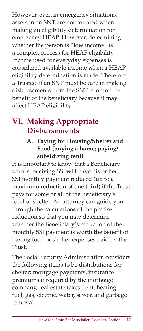However, even in emergency situations, assets in an SNT are not counted when making an eligibility determination for emergency HEAP. However, determining whether the person is "low income" is a complex process for HEAP eligibility. Income used for everyday expenses is considered available income when a HEAP eligibility determination is made. Therefore, a Trustee of an SNT must be care in making disbursements from the SNT to or for the benefit of the beneficiary because it may affect HEAP eligibility.

### **VI. Making Appropriate Disbursements**

### **A. Paying for Housing/Shelter and Food (buying a home; paying/ subsidizing rent)**

It is important to know that a Beneficiary who is receiving SSI will have his or her SSI monthly payment reduced (up to a maximum reduction of one third) if the Trust pays for some or all of the Beneficiary's food or shelter. An attorney can guide you through the calculations of the precise reduction so that you may determine whether the Beneficiary's reduction of the monthly SSI payment is worth the benefit of having food or shelter expenses paid by the Trust.

The Social Security Administration considers the following items to be distributions for shelter: mortgage payments, insurance premiums if required by the mortgage company, real estate taxes, rent, heating fuel, gas, electric, water, sewer, and garbage removal.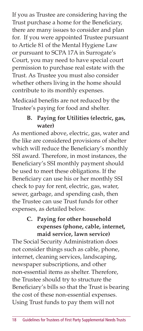If you as Trustee are considering having the Trust purchase a home for the Beneficiary, there are many issues to consider and plan for. If you were appointed Trustee pursuant to Article 81 of the Mental Hygiene Law or pursuant to SCPA 17A in Surrogate's Court, you may need to have special court permission to purchase real estate with the Trust. As Trustee you must also consider whether others living in the home should contribute to its monthly expenses.

Medicaid benefits are not reduced by the Trustee's paying for food and shelter.

### **B. Paying for Utilities (electric, gas, water)**

As mentioned above, electric, gas, water and the like are considered provisions of shelter which will reduce the Beneficiary's monthly SSI award. Therefore, in most instances, the Beneficiary's SSI monthly payment should be used to meet these obligations. If the Beneficiary can use his or her monthly SSI check to pay for rent, electric, gas, water, sewer, garbage, and spending cash, then the Trustee can use Trust funds for other expenses, as detailed below.

### **C. Paying for other household expenses (phone, cable, internet, maid service, lawn service)**

The Social Security Administration does not consider things such as cable, phone, internet, cleaning services, landscaping, newspaper subscriptions, and other non-essential items as shelter. Therefore, the Trustee should try to structure the Beneficiary's bills so that the Trust is bearing the cost of these non-essential expenses. Using Trust funds to pay them will not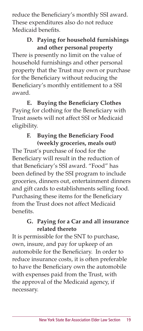reduce the Beneficiary's monthly SSI award. These expenditures also do not reduce Medicaid benefits.

### **D. Paying for household furnishings and other personal property**

There is presently no limit on the value of household furnishings and other personal property that the Trust may own or purchase for the Beneficiary without reducing the Beneficiary's monthly entitlement to a SSI award.

**E.** Buying the Beneficiary Clothes Paying for clothing for the Beneficiary with Trust assets will not affect SSI or Medicaid eligibility.

### **F.** Buying the Beneficiary Food **(weekly groceries, meals out)**

The Trust's purchase of food for the Beneficiary will result in the reduction of that Beneficiary's SSI award. "Food" has been defined by the SSI program to include groceries, dinners out, entertainment dinners and gift cards to establishments selling food. Purchasing these items for the Beneficiary from the Trust does not affect Medicaid benefits.

### **G. Paying for a Car and all insurance related thereto**

It is permissible for the SNT to purchase, own, insure, and pay for upkeep of an automobile for the Beneficiary. In order to reduce insurance costs, it is often preferable to have the Beneficiary own the automobile with expenses paid from the Trust, with the approval of the Medicaid agency, if necessary.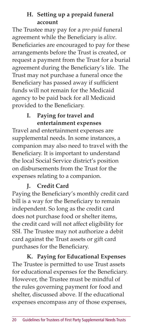#### **H. Setting up a prepaid funeral account**

The Trustee may pay for a *pre-paid* funeral agreement while the Beneficiary is *alive*. Beneficiaries are encouraged to pay for these arrangements before the Trust is created, or request a payment from the Trust for a burial agreement during the Beneficiary's life. The Trust may not purchase a funeral once the Beneficiary has passed away if sufficient funds will not remain for the Medicaid agency to be paid back for all Medicaid provided to the Beneficiary.

### **I. Paying for travel and entertainment expenses**

Travel and entertainment expenses are supplemental needs. In some instances, a companion may also need to travel with the Beneficiary. It is important to understand the local Social Service district's position on disbursements from the Trust for the expenses relating to a companion.

### **J. Credit Card**

Paying the Beneficiary's monthly credit card bill is a way for the Beneficiary to remain independent. So long as the credit card does not purchase food or shelter items, the credit card will not affect eligibility for SSI. The Trustee may not authorize a debit card against the Trust assets or gift card purchases for the Beneficiary.

**K. Paying for Educational Expenses** The Trustee is permitted to use Trust assets for educational expenses for the Beneficiary. However, the Trustee must be mindful of the rules governing payment for food and shelter, discussed above. If the educational expenses encompass any of those expenses,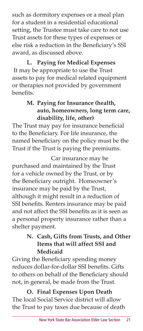such as dormitory expenses or a meal plan for a student in a residential educational setting, the Trustee must take care to not use Trust assets for these types of expenses or else risk a reduction in the Beneficiary's SSI award, as discussed above.

**L. Paying for Medical Expenses**

 It may be appropriate to use the Trust assets to pay for medical related equipment or therapies not provided by government benefits.

### **M. Paying for Insurance (health, auto, homeowners, long term care, disability, life, other)**

The Trust may pay for insurance beneficial to the Beneficiary. For life insurance, the named beneficiary on the policy must be the Trust if the Trust is paying the premiums.

Car insurance may be purchased and maintained by the Trust for a vehicle owned by the Trust, or by the Beneficiary outright. Homeowner's insurance may be paid by the Trust, although it might result in a reduction of SSI benefits. Renters insurance may be paid and not affect the SSI benefits as it is seen as a personal property insurance rather than a shelter payment.

### **N. Cash, Gifts from Trusts, and Other Items that will affect SSI and Medicaid**

Giving the Beneficiary spending money reduces dollar-for-dollar SSI benefits. Gifts to others on behalf of the Beneficiary should not, in general, be made from the Trust.

**O. Final Expenses Upon Death** The local Social Service district will allow the Trust to pay taxes due because of death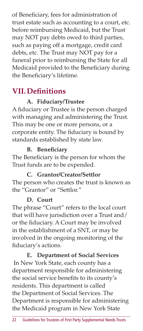of Beneficiary, fees for administration of trust estate such as accounting to a court, etc. before reimbursing Medicaid, but the Trust may NOT pay debts owed to third parties, such as paying off a mortgage, credit card debts, etc. The Trust may NOT pay for a funeral prior to reimbursing the State for all Medicaid provided to the Beneficiary during the Beneficiary's lifetime.

# **VII. Definitions**

### **A. Fiduciary/Trustee**

A fiduciary or Trustee is the person charged with managing and administering the Trust. This may be one or more persons, or a corporate entity. The fiduciary is bound by standards established by state law.

### **B.** Beneficiary

The Beneficiary is the person for whom the Trust funds are to be expended.

### **C. Grantor/Creator/Settlor**

The person who creates the trust is known as the "Grantor" or "Settlor."

### **D. Court**

The phrase "Court" refers to the local court that will have jurisdiction over a Trust and/ or the fiduciary. A Court may be involved in the establishment of a SNT, or may be involved in the ongoing monitoring of the fiduciary's actions.

**E. Department of Social Services** In New York State, each county has a department responsible for administering the social service benefits to its county's residents. This department is called the Department of Social Services. The Department is responsible for administering the Medicaid program in New York State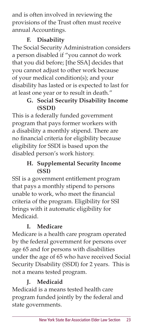and is often involved in reviewing the provisions of the Trust often must receive annual Accountings.

### **F. Disability**

The Social Security Administration considers a person disabled if "you cannot do work that you did before; [the SSA] decides that you cannot adjust to other work because of your medical condition(s); and your disability has lasted or is expected to last for at least one year or to result in death."

### **G. Social Security Disability Income (SSDI)**

This is a federally funded government program that pays former workers with a disability a monthly stipend. There are no financial criteria for eligibility because eligibility for SSDI is based upon the disabled person's work history.

### **H. Supplemental Security Income (SSI)**

SSI is a government entitlement program that pays a monthly stipend to persons unable to work, who meet the financial criteria of the program. Eligibility for SSI brings with it automatic eligibility for Medicaid.

### **I. Medicare**

Medicare is a health care program operated by the federal government for persons over age 65 and for persons with disabilities under the age of 65 who have received Social Security Disability (SSDI) for 2 years. This is not a means tested program.

### **J. Medicaid**

Medicaid is a means tested health care program funded jointly by the federal and state governments.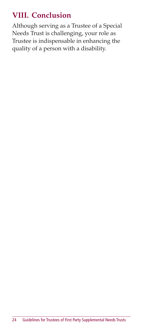# **VIII. Conclusion**

Although serving as a Trustee of a Special Needs Trust is challenging, your role as Trustee is indispensable in enhancing the quality of a person with a disability.